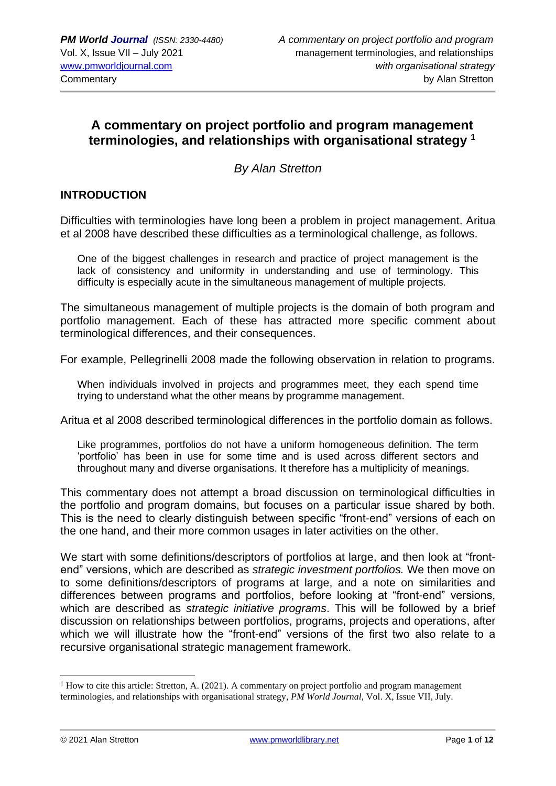# **A commentary on project portfolio and program management terminologies, and relationships with organisational strategy <sup>1</sup>**

*By Alan Stretton*

# **INTRODUCTION**

Difficulties with terminologies have long been a problem in project management. Aritua et al 2008 have described these difficulties as a terminological challenge, as follows.

One of the biggest challenges in research and practice of project management is the lack of consistency and uniformity in understanding and use of terminology. This difficulty is especially acute in the simultaneous management of multiple projects.

The simultaneous management of multiple projects is the domain of both program and portfolio management. Each of these has attracted more specific comment about terminological differences, and their consequences.

For example, Pellegrinelli 2008 made the following observation in relation to programs.

When individuals involved in projects and programmes meet, they each spend time trying to understand what the other means by programme management.

Aritua et al 2008 described terminological differences in the portfolio domain as follows.

Like programmes, portfolios do not have a uniform homogeneous definition. The term 'portfolio' has been in use for some time and is used across different sectors and throughout many and diverse organisations. It therefore has a multiplicity of meanings.

This commentary does not attempt a broad discussion on terminological difficulties in the portfolio and program domains, but focuses on a particular issue shared by both. This is the need to clearly distinguish between specific "front-end" versions of each on the one hand, and their more common usages in later activities on the other.

We start with some definitions/descriptors of portfolios at large, and then look at "frontend" versions, which are described as *strategic investment portfolios.* We then move on to some definitions/descriptors of programs at large, and a note on similarities and differences between programs and portfolios, before looking at "front-end" versions, which are described as *strategic initiative programs*. This will be followed by a brief discussion on relationships between portfolios, programs, projects and operations, after which we will illustrate how the "front-end" versions of the first two also relate to a recursive organisational strategic management framework.

 $1$  How to cite this article: Stretton, A. (2021). A commentary on project portfolio and program management terminologies, and relationships with organisational strategy, *PM World Journal*, Vol. X, Issue VII, July.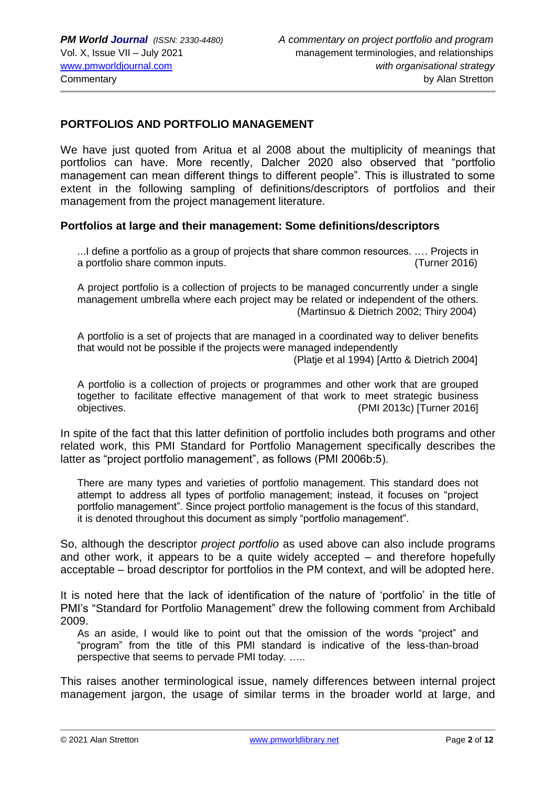#### **PORTFOLIOS AND PORTFOLIO MANAGEMENT**

We have just quoted from Aritua et al 2008 about the multiplicity of meanings that portfolios can have. More recently, Dalcher 2020 also observed that "portfolio management can mean different things to different people". This is illustrated to some extent in the following sampling of definitions/descriptors of portfolios and their management from the project management literature.

#### **Portfolios at large and their management: Some definitions/descriptors**

...I define a portfolio as a group of projects that share common resources. …. Projects in a portfolio share common inputs. (Turner 2016)

A project portfolio is a collection of projects to be managed concurrently under a single management umbrella where each project may be related or independent of the others. (Martinsuo & Dietrich 2002; Thiry 2004)

A portfolio is a set of projects that are managed in a coordinated way to deliver benefits that would not be possible if the projects were managed independently

(Platje et al 1994) [Artto & Dietrich 2004]

A portfolio is a collection of projects or programmes and other work that are grouped together to facilitate effective management of that work to meet strategic business objectives. (PMI 2013c) [Turner 2016]

In spite of the fact that this latter definition of portfolio includes both programs and other related work, this PMI Standard for Portfolio Management specifically describes the latter as "project portfolio management", as follows (PMI 2006b:5).

There are many types and varieties of portfolio management. This standard does not attempt to address all types of portfolio management; instead, it focuses on "project portfolio management". Since project portfolio management is the focus of this standard, it is denoted throughout this document as simply "portfolio management".

So, although the descriptor *project portfolio* as used above can also include programs and other work, it appears to be a quite widely accepted – and therefore hopefully acceptable – broad descriptor for portfolios in the PM context, and will be adopted here.

It is noted here that the lack of identification of the nature of 'portfolio' in the title of PMI's "Standard for Portfolio Management" drew the following comment from Archibald 2009.

As an aside, I would like to point out that the omission of the words "project" and "program" from the title of this PMI standard is indicative of the less-than-broad perspective that seems to pervade PMI today. …..

This raises another terminological issue, namely differences between internal project management jargon, the usage of similar terms in the broader world at large, and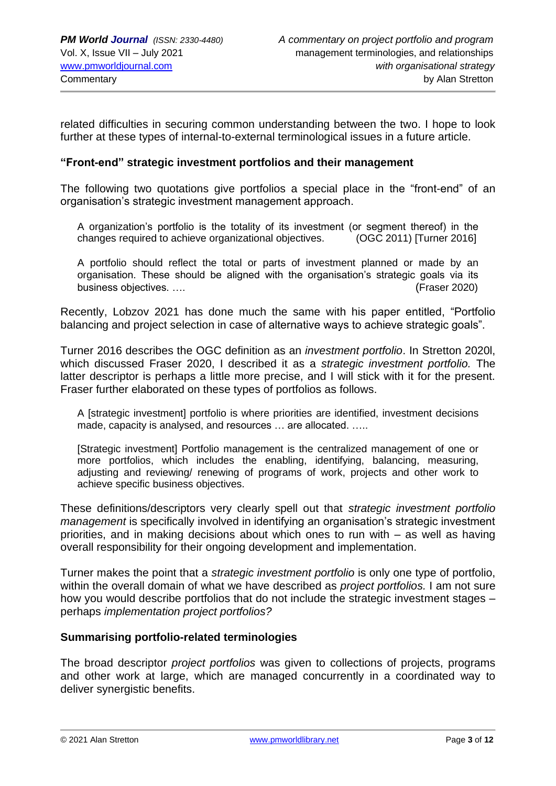related difficulties in securing common understanding between the two. I hope to look further at these types of internal-to-external terminological issues in a future article.

#### **"Front-end" strategic investment portfolios and their management**

The following two quotations give portfolios a special place in the "front-end" of an organisation's strategic investment management approach.

A organization's portfolio is the totality of its investment (or segment thereof) in the changes required to achieve organizational objectives. (OGC 2011) [Turner 2016]

A portfolio should reflect the total or parts of investment planned or made by an organisation. These should be aligned with the organisation's strategic goals via its business objectives. …. (Fraser 2020)

Recently, Lobzov 2021 has done much the same with his paper entitled, "Portfolio balancing and project selection in case of alternative ways to achieve strategic goals".

Turner 2016 describes the OGC definition as an *investment portfolio*. In Stretton 2020l, which discussed Fraser 2020, I described it as a *strategic investment portfolio.* The latter descriptor is perhaps a little more precise, and I will stick with it for the present. Fraser further elaborated on these types of portfolios as follows.

A [strategic investment] portfolio is where priorities are identified, investment decisions made, capacity is analysed, and resources … are allocated. …..

[Strategic investment] Portfolio management is the centralized management of one or more portfolios, which includes the enabling, identifying, balancing, measuring, adjusting and reviewing/ renewing of programs of work, projects and other work to achieve specific business objectives.

These definitions/descriptors very clearly spell out that *strategic investment portfolio management* is specifically involved in identifying an organisation's strategic investment priorities, and in making decisions about which ones to run with – as well as having overall responsibility for their ongoing development and implementation.

Turner makes the point that a *strategic investment portfolio* is only one type of portfolio, within the overall domain of what we have described as *project portfolios.* I am not sure how you would describe portfolios that do not include the strategic investment stages – perhaps *implementation project portfolios?*

#### **Summarising portfolio-related terminologies**

The broad descriptor *project portfolios* was given to collections of projects, programs and other work at large, which are managed concurrently in a coordinated way to deliver synergistic benefits.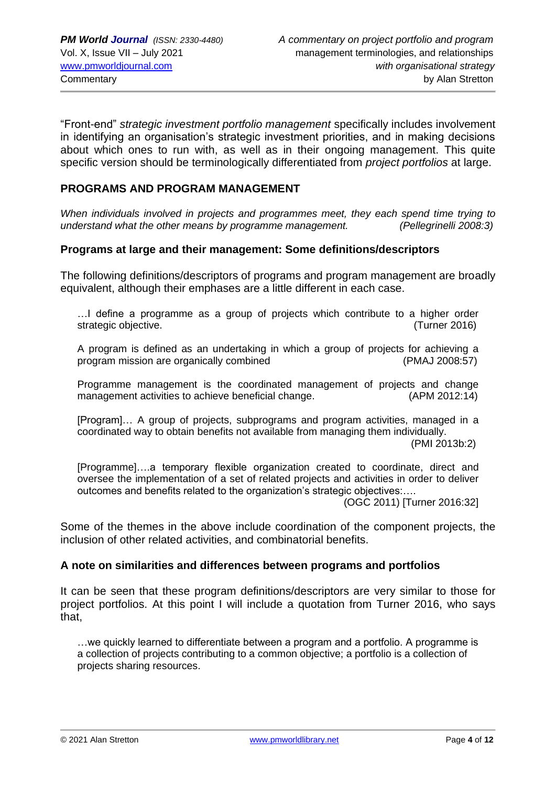"Front-end" *strategic investment portfolio management* specifically includes involvement in identifying an organisation's strategic investment priorities, and in making decisions about which ones to run with, as well as in their ongoing management. This quite specific version should be terminologically differentiated from *project portfolios* at large.

## **PROGRAMS AND PROGRAM MANAGEMENT**

*When individuals involved in projects and programmes meet, they each spend time trying to understand what the other means by programme management. (Pellegrinelli 2008:3)*

#### **Programs at large and their management: Some definitions/descriptors**

The following definitions/descriptors of programs and program management are broadly equivalent, although their emphases are a little different in each case.

…I define a programme as a group of projects which contribute to a higher order strategic objective. (Turner 2016)

A program is defined as an undertaking in which a group of projects for achieving a program mission are organically combined (PMAJ 2008:57)

Programme management is the coordinated management of projects and change management activities to achieve beneficial change. (APM 2012:14)

[Program]… A group of projects, subprograms and program activities, managed in a coordinated way to obtain benefits not available from managing them individually.

(PMI 2013b:2)

[Programme]….a temporary flexible organization created to coordinate, direct and oversee the implementation of a set of related projects and activities in order to deliver outcomes and benefits related to the organization's strategic objectives:….

(OGC 2011) [Turner 2016:32]

Some of the themes in the above include coordination of the component projects, the inclusion of other related activities, and combinatorial benefits.

#### **A note on similarities and differences between programs and portfolios**

It can be seen that these program definitions/descriptors are very similar to those for project portfolios. At this point I will include a quotation from Turner 2016, who says that,

…we quickly learned to differentiate between a program and a portfolio. A programme is a collection of projects contributing to a common objective; a portfolio is a collection of projects sharing resources.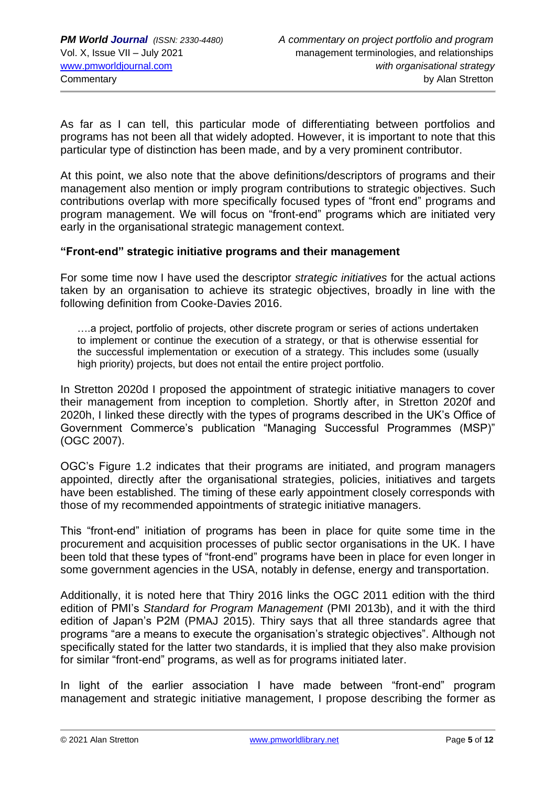As far as I can tell, this particular mode of differentiating between portfolios and programs has not been all that widely adopted. However, it is important to note that this particular type of distinction has been made, and by a very prominent contributor.

At this point, we also note that the above definitions/descriptors of programs and their management also mention or imply program contributions to strategic objectives. Such contributions overlap with more specifically focused types of "front end" programs and program management. We will focus on "front-end" programs which are initiated very early in the organisational strategic management context.

#### **"Front-end" strategic initiative programs and their management**

For some time now I have used the descriptor *strategic initiatives* for the actual actions taken by an organisation to achieve its strategic objectives, broadly in line with the following definition from Cooke-Davies 2016.

….a project, portfolio of projects, other discrete program or series of actions undertaken to implement or continue the execution of a strategy, or that is otherwise essential for the successful implementation or execution of a strategy. This includes some (usually high priority) projects, but does not entail the entire project portfolio.

In Stretton 2020d I proposed the appointment of strategic initiative managers to cover their management from inception to completion. Shortly after, in Stretton 2020f and 2020h, I linked these directly with the types of programs described in the UK's Office of Government Commerce's publication "Managing Successful Programmes (MSP)" (OGC 2007).

OGC's Figure 1.2 indicates that their programs are initiated, and program managers appointed, directly after the organisational strategies, policies, initiatives and targets have been established. The timing of these early appointment closely corresponds with those of my recommended appointments of strategic initiative managers.

This "front-end" initiation of programs has been in place for quite some time in the procurement and acquisition processes of public sector organisations in the UK. I have been told that these types of "front-end" programs have been in place for even longer in some government agencies in the USA, notably in defense, energy and transportation.

Additionally, it is noted here that Thiry 2016 links the OGC 2011 edition with the third edition of PMI's *Standard for Program Management* (PMI 2013b), and it with the third edition of Japan's P2M (PMAJ 2015). Thiry says that all three standards agree that programs "are a means to execute the organisation's strategic objectives". Although not specifically stated for the latter two standards, it is implied that they also make provision for similar "front-end" programs, as well as for programs initiated later.

In light of the earlier association I have made between "front-end" program management and strategic initiative management, I propose describing the former as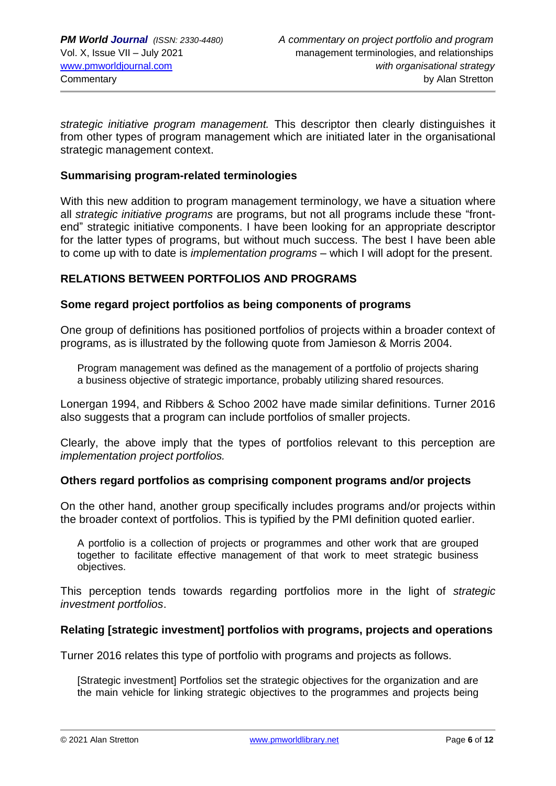*strategic initiative program management.* This descriptor then clearly distinguishes it from other types of program management which are initiated later in the organisational strategic management context.

## **Summarising program-related terminologies**

With this new addition to program management terminology, we have a situation where all *strategic initiative programs* are programs, but not all programs include these "frontend" strategic initiative components. I have been looking for an appropriate descriptor for the latter types of programs, but without much success. The best I have been able to come up with to date is *implementation programs –* which I will adopt for the present.

#### **RELATIONS BETWEEN PORTFOLIOS AND PROGRAMS**

#### **Some regard project portfolios as being components of programs**

One group of definitions has positioned portfolios of projects within a broader context of programs, as is illustrated by the following quote from Jamieson & Morris 2004.

Program management was defined as the management of a portfolio of projects sharing a business objective of strategic importance, probably utilizing shared resources.

Lonergan 1994, and Ribbers & Schoo 2002 have made similar definitions. Turner 2016 also suggests that a program can include portfolios of smaller projects.

Clearly, the above imply that the types of portfolios relevant to this perception are *implementation project portfolios.*

#### **Others regard portfolios as comprising component programs and/or projects**

On the other hand, another group specifically includes programs and/or projects within the broader context of portfolios. This is typified by the PMI definition quoted earlier.

A portfolio is a collection of projects or programmes and other work that are grouped together to facilitate effective management of that work to meet strategic business objectives.

This perception tends towards regarding portfolios more in the light of *strategic investment portfolios*.

# **Relating [strategic investment] portfolios with programs, projects and operations**

Turner 2016 relates this type of portfolio with programs and projects as follows.

[Strategic investment] Portfolios set the strategic objectives for the organization and are the main vehicle for linking strategic objectives to the programmes and projects being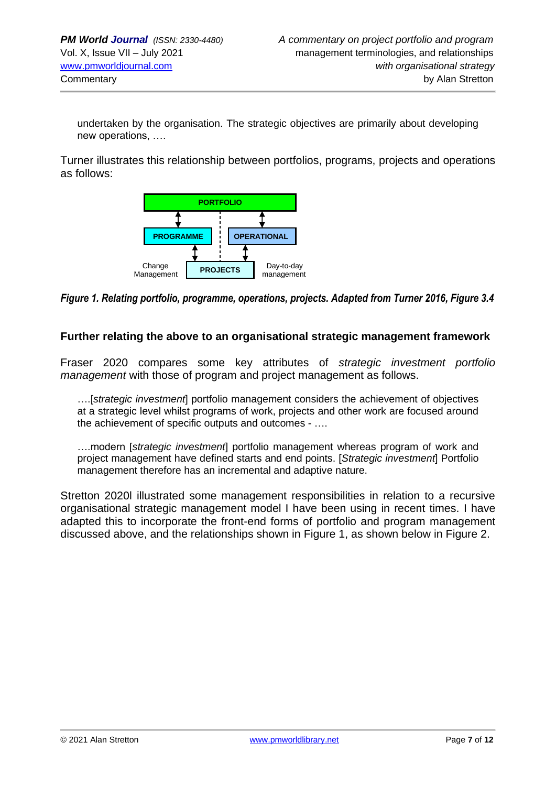undertaken by the organisation. The strategic objectives are primarily about developing new operations, ….

Turner illustrates this relationship between portfolios, programs, projects and operations as follows:



*Figure 1. Relating portfolio, programme, operations, projects. Adapted from Turner 2016, Figure 3.4*

#### **Further relating the above to an organisational strategic management framework**

Fraser 2020 compares some key attributes of *strategic investment portfolio management* with those of program and project management as follows.

….[*strategic investment*] portfolio management considers the achievement of objectives at a strategic level whilst programs of work, projects and other work are focused around the achievement of specific outputs and outcomes - ….

….modern [*strategic investment*] portfolio management whereas program of work and project management have defined starts and end points. [*Strategic investment*] Portfolio management therefore has an incremental and adaptive nature.

Stretton 2020l illustrated some management responsibilities in relation to a recursive organisational strategic management model I have been using in recent times. I have adapted this to incorporate the front-end forms of portfolio and program management discussed above, and the relationships shown in Figure 1, as shown below in Figure 2.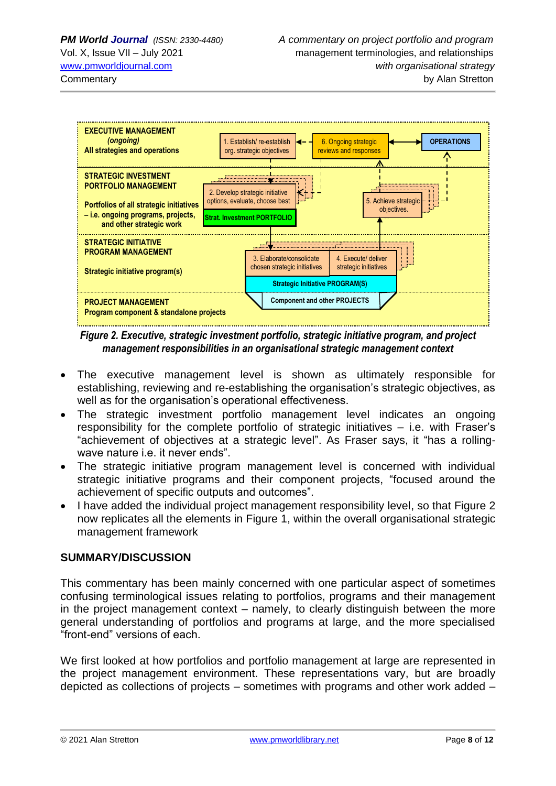

*Figure 2. Executive, strategic investment portfolio, strategic initiative program, and project management responsibilities in an organisational strategic management context*

- The executive management level is shown as ultimately responsible for establishing, reviewing and re-establishing the organisation's strategic objectives, as well as for the organisation's operational effectiveness.
- The strategic investment portfolio management level indicates an ongoing responsibility for the complete portfolio of strategic initiatives – i.e. with Fraser's "achievement of objectives at a strategic level". As Fraser says, it "has a rollingwave nature i.e. it never ends".
- The strategic initiative program management level is concerned with individual strategic initiative programs and their component projects, "focused around the achievement of specific outputs and outcomes".
- I have added the individual project management responsibility level, so that Figure 2 now replicates all the elements in Figure 1, within the overall organisational strategic management framework

# **SUMMARY/DISCUSSION**

This commentary has been mainly concerned with one particular aspect of sometimes confusing terminological issues relating to portfolios, programs and their management in the project management context – namely, to clearly distinguish between the more general understanding of portfolios and programs at large, and the more specialised "front-end" versions of each.

We first looked at how portfolios and portfolio management at large are represented in the project management environment. These representations vary, but are broadly depicted as collections of projects – sometimes with programs and other work added –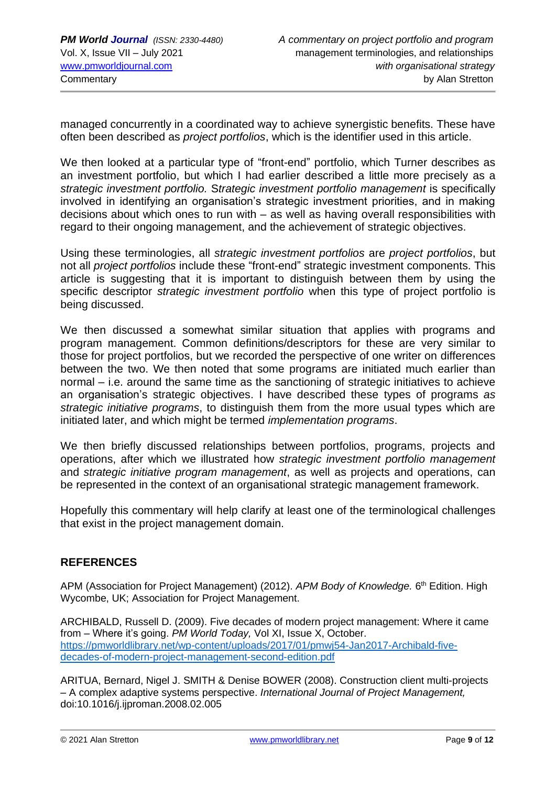managed concurrently in a coordinated way to achieve synergistic benefits. These have often been described as *project portfolios*, which is the identifier used in this article.

We then looked at a particular type of "front-end" portfolio, which Turner describes as an investment portfolio, but which I had earlier described a little more precisely as a *strategic investment portfolio.* S*trategic investment portfolio management* is specifically involved in identifying an organisation's strategic investment priorities, and in making decisions about which ones to run with – as well as having overall responsibilities with regard to their ongoing management, and the achievement of strategic objectives.

Using these terminologies, all *strategic investment portfolios* are *project portfolios*, but not all *project portfolios* include these "front-end" strategic investment components. This article is suggesting that it is important to distinguish between them by using the specific descriptor *strategic investment portfolio* when this type of project portfolio is being discussed.

We then discussed a somewhat similar situation that applies with programs and program management. Common definitions/descriptors for these are very similar to those for project portfolios, but we recorded the perspective of one writer on differences between the two. We then noted that some programs are initiated much earlier than normal – i.e. around the same time as the sanctioning of strategic initiatives to achieve an organisation's strategic objectives. I have described these types of programs *as strategic initiative programs*, to distinguish them from the more usual types which are initiated later, and which might be termed *implementation programs*.

We then briefly discussed relationships between portfolios, programs, projects and operations, after which we illustrated how *strategic investment portfolio management* and *strategic initiative program management*, as well as projects and operations, can be represented in the context of an organisational strategic management framework.

Hopefully this commentary will help clarify at least one of the terminological challenges that exist in the project management domain.

# **REFERENCES**

APM (Association for Project Management) (2012). APM Body of Knowledge. 6<sup>th</sup> Edition. High Wycombe, UK; Association for Project Management.

ARCHIBALD, Russell D. (2009). Five decades of modern project management: Where it came from – Where it's going. *PM World Today,* Vol XI, Issue X, October. [https://pmworldlibrary.net/wp-content/uploads/2017/01/pmwj54-Jan2017-Archibald-five](https://pmworldlibrary.net/wp-content/uploads/2017/01/pmwj54-Jan2017-Archibald-five-decades-of-modern-project-management-second-edition.pdf)[decades-of-modern-project-management-second-edition.pdf](https://pmworldlibrary.net/wp-content/uploads/2017/01/pmwj54-Jan2017-Archibald-five-decades-of-modern-project-management-second-edition.pdf)

ARITUA, Bernard, Nigel J. SMITH & Denise BOWER (2008). Construction client multi-projects – A complex adaptive systems perspective. *International Journal of Project Management,*  doi:10.1016/j.ijproman.2008.02.005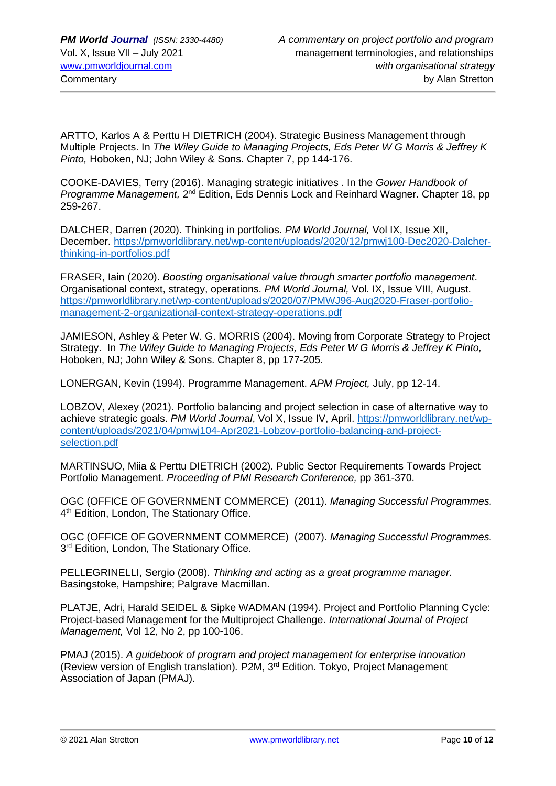ARTTO, Karlos A & Perttu H DIETRICH (2004). Strategic Business Management through Multiple Projects. In *The Wiley Guide to Managing Projects, Eds Peter W G Morris & Jeffrey K Pinto,* Hoboken, NJ; John Wiley & Sons. Chapter 7, pp 144-176.

COOKE-DAVIES, Terry (2016). Managing strategic initiatives . In the *Gower Handbook of Programme Management,* 2<sup>nd</sup> Edition, Eds Dennis Lock and Reinhard Wagner. Chapter 18, pp 259-267.

DALCHER, Darren (2020). Thinking in portfolios. *PM World Journal,* Vol IX, Issue XII, December. [https://pmworldlibrary.net/wp-content/uploads/2020/12/pmwj100-Dec2020-Dalcher](https://pmworldlibrary.net/wp-content/uploads/2020/12/pmwj100-Dec2020-Dalcher-thinking-in-portfolios.pdf)[thinking-in-portfolios.pdf](https://pmworldlibrary.net/wp-content/uploads/2020/12/pmwj100-Dec2020-Dalcher-thinking-in-portfolios.pdf)

FRASER, Iain (2020). *Boosting organisational value through smarter portfolio management*. Organisational context, strategy, operations. *PM World Journal,* Vol. IX, Issue VIII, August. [https://pmworldlibrary.net/wp-content/uploads/2020/07/PMWJ96-Aug2020-Fraser-portfolio](https://pmworldlibrary.net/wp-content/uploads/2020/07/PMWJ96-Aug2020-Fraser-portfolio-management-2-organizational-context-strategy-operations.pdf)[management-2-organizational-context-strategy-operations.pdf](https://pmworldlibrary.net/wp-content/uploads/2020/07/PMWJ96-Aug2020-Fraser-portfolio-management-2-organizational-context-strategy-operations.pdf)

JAMIESON, Ashley & Peter W. G. MORRIS (2004). Moving from Corporate Strategy to Project Strategy. In *The Wiley Guide to Managing Projects, Eds Peter W G Morris & Jeffrey K Pinto,* Hoboken, NJ; John Wiley & Sons. Chapter 8, pp 177-205.

LONERGAN, Kevin (1994). Programme Management. *APM Project,* July, pp 12-14.

LOBZOV, Alexey (2021). Portfolio balancing and project selection in case of alternative way to achieve strategic goals. *PM World Journal*, Vol X, Issue IV, April. [https://pmworldlibrary.net/wp](https://pmworldlibrary.net/wp-content/uploads/2021/04/pmwj104-Apr2021-Lobzov-portfolio-balancing-and-project-selection.pdf)[content/uploads/2021/04/pmwj104-Apr2021-Lobzov-portfolio-balancing-and-project](https://pmworldlibrary.net/wp-content/uploads/2021/04/pmwj104-Apr2021-Lobzov-portfolio-balancing-and-project-selection.pdf)[selection.pdf](https://pmworldlibrary.net/wp-content/uploads/2021/04/pmwj104-Apr2021-Lobzov-portfolio-balancing-and-project-selection.pdf)

MARTINSUO, Miia & Perttu DIETRICH (2002). Public Sector Requirements Towards Project Portfolio Management. *Proceeding of PMI Research Conference,* pp 361-370.

OGC (OFFICE OF GOVERNMENT COMMERCE) (2011). *Managing Successful Programmes.*  4<sup>th</sup> Edition, London, The Stationary Office.

OGC (OFFICE OF GOVERNMENT COMMERCE) (2007). *Managing Successful Programmes.*  3<sup>rd</sup> Edition, London, The Stationary Office.

PELLEGRINELLI, Sergio (2008). *Thinking and acting as a great programme manager.*  Basingstoke, Hampshire; Palgrave Macmillan.

PLATJE, Adri, Harald SEIDEL & Sipke WADMAN (1994). Project and Portfolio Planning Cycle: Project-based Management for the Multiproject Challenge. *International Journal of Project Management,* Vol 12, No 2, pp 100-106.

PMAJ (2015). *A guidebook of program and project management for enterprise innovation*  (Review version of English translation)*.* P2M, 3rd Edition. Tokyo, Project Management Association of Japan (PMAJ).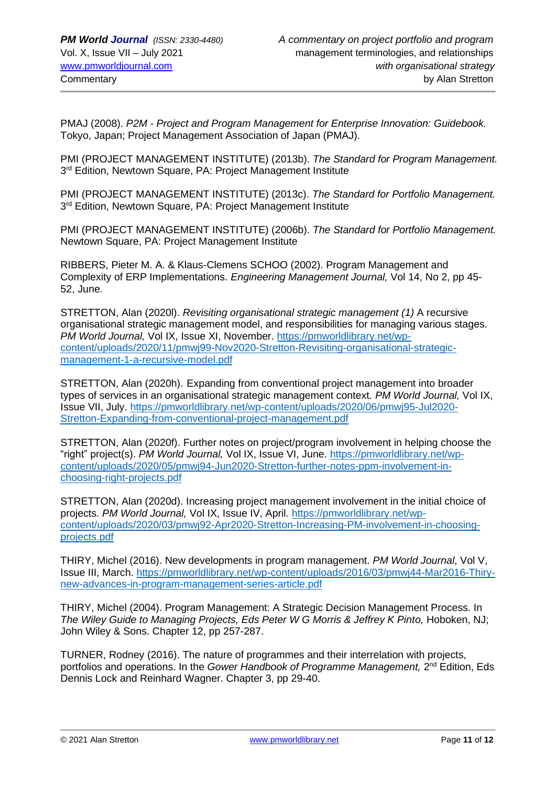PMAJ (2008). *P2M - Project and Program Management for Enterprise Innovation: Guidebook.*  Tokyo, Japan; Project Management Association of Japan (PMAJ).

PMI (PROJECT MANAGEMENT INSTITUTE) (2013b). *The Standard for Program Management.*  3<sup>rd</sup> Edition, Newtown Square, PA: Project Management Institute

PMI (PROJECT MANAGEMENT INSTITUTE) (2013c). *The Standard for Portfolio Management.*  3<sup>rd</sup> Edition, Newtown Square, PA: Project Management Institute

PMI (PROJECT MANAGEMENT INSTITUTE) (2006b). *The Standard for Portfolio Management.*  Newtown Square, PA: Project Management Institute

RIBBERS, Pieter M. A. & Klaus-Clemens SCHOO (2002). Program Management and Complexity of ERP Implementations. *Engineering Management Journal,* Vol 14, No 2, pp 45- 52, June.

STRETTON, Alan (2020l). *Revisiting organisational strategic management (1)* A recursive organisational strategic management model, and responsibilities for managing various stages. *PM World Journal,* Vol IX, Issue XI, November. [https://pmworldlibrary.net/wp](https://pmworldlibrary.net/wp-content/uploads/2020/11/pmwj99-Nov2020-Stretton-Revisiting-organisational-strategic-management-1-a-recursive-model.pdf)[content/uploads/2020/11/pmwj99-Nov2020-Stretton-Revisiting-organisational-strategic](https://pmworldlibrary.net/wp-content/uploads/2020/11/pmwj99-Nov2020-Stretton-Revisiting-organisational-strategic-management-1-a-recursive-model.pdf)[management-1-a-recursive-model.pdf](https://pmworldlibrary.net/wp-content/uploads/2020/11/pmwj99-Nov2020-Stretton-Revisiting-organisational-strategic-management-1-a-recursive-model.pdf)

STRETTON, Alan (2020h). Expanding from conventional project management into broader types of services in an organisational strategic management context*. PM World Journal,* Vol IX, Issue VII, July. [https://pmworldlibrary.net/wp-content/uploads/2020/06/pmwj95-Jul2020-](https://pmworldlibrary.net/wp-content/uploads/2020/06/pmwj95-Jul2020-Stretton-Expanding-from-conventional-project-management.pdf) [Stretton-Expanding-from-conventional-project-management.pdf](https://pmworldlibrary.net/wp-content/uploads/2020/06/pmwj95-Jul2020-Stretton-Expanding-from-conventional-project-management.pdf)

STRETTON, Alan (2020f). Further notes on project/program involvement in helping choose the "right" project(s). *PM World Journal,* Vol IX, Issue VI, June. [https://pmworldlibrary.net/wp](https://pmworldlibrary.net/wp-content/uploads/2020/05/pmwj94-Jun2020-Stretton-further-notes-ppm-involvement-in-choosing-right-projects.pdf)[content/uploads/2020/05/pmwj94-Jun2020-Stretton-further-notes-ppm-involvement-in](https://pmworldlibrary.net/wp-content/uploads/2020/05/pmwj94-Jun2020-Stretton-further-notes-ppm-involvement-in-choosing-right-projects.pdf)[choosing-right-projects.pdf](https://pmworldlibrary.net/wp-content/uploads/2020/05/pmwj94-Jun2020-Stretton-further-notes-ppm-involvement-in-choosing-right-projects.pdf)

STRETTON, Alan (2020d). Increasing project management involvement in the initial choice of projects. *PM World Journal,* Vol IX, Issue IV, April. [https://pmworldlibrary.net/wp](https://pmworldlibrary.net/wp-content/uploads/2020/03/pmwj92-Apr2020-Stretton-Increasing-PM-involvement-in-choosing-projects.pdf)[content/uploads/2020/03/pmwj92-Apr2020-Stretton-Increasing-PM-involvement-in-choosing](https://pmworldlibrary.net/wp-content/uploads/2020/03/pmwj92-Apr2020-Stretton-Increasing-PM-involvement-in-choosing-projects.pdf)[projects.pdf](https://pmworldlibrary.net/wp-content/uploads/2020/03/pmwj92-Apr2020-Stretton-Increasing-PM-involvement-in-choosing-projects.pdf)

THIRY, Michel (2016). New developments in program management. *PM World Journal*, Vol V, Issue III, March. [https://pmworldlibrary.net/wp-content/uploads/2016/03/pmwj44-Mar2016-Thiry](https://pmworldlibrary.net/wp-content/uploads/2016/03/pmwj44-Mar2016-Thiry-new-advances-in-program-management-series-article.pdf)[new-advances-in-program-management-series-article.pdf](https://pmworldlibrary.net/wp-content/uploads/2016/03/pmwj44-Mar2016-Thiry-new-advances-in-program-management-series-article.pdf)

THIRY, Michel (2004). Program Management: A Strategic Decision Management Process. In *The Wiley Guide to Managing Projects, Eds Peter W G Morris & Jeffrey K Pinto, Hoboken, NJ;* John Wiley & Sons. Chapter 12, pp 257-287.

TURNER, Rodney (2016). The nature of programmes and their interrelation with projects, portfolios and operations. In the *Gower Handbook of Programme Management*, 2<sup>nd</sup> Edition, Eds Dennis Lock and Reinhard Wagner. Chapter 3, pp 29-40.